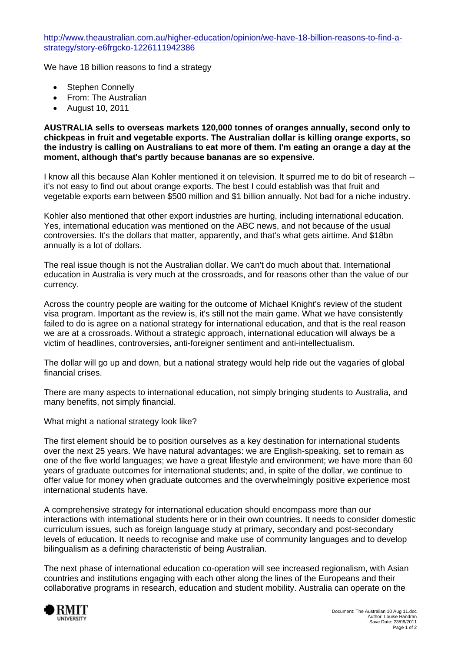[http://www.theaustralian.com.au/higher-education/opinion/we-have-18-billion-reasons-to-find-a](http://www.theaustralian.com.au/higher-education/opinion/we-have-18-billion-reasons-to-find-a-strategy/story-e6frgcko-1226111942386)[strategy/story-e6frgcko-1226111942386](http://www.theaustralian.com.au/higher-education/opinion/we-have-18-billion-reasons-to-find-a-strategy/story-e6frgcko-1226111942386)

We have 18 billion reasons to find a strategy

- Stephen Connelly
- From: The Australian
- August 10, 2011

**AUSTRALIA sells to overseas markets 120,000 tonnes of oranges annually, second only to chickpeas in fruit and vegetable exports. The Australian dollar is killing orange exports, so the industry is calling on Australians to eat more of them. I'm eating an orange a day at the moment, although that's partly because bananas are so expensive.** 

I know all this because Alan Kohler mentioned it on television. It spurred me to do bit of research - it's not easy to find out about orange exports. The best I could establish was that fruit and vegetable exports earn between \$500 million and \$1 billion annually. Not bad for a niche industry.

Kohler also mentioned that other export industries are hurting, including international education. Yes, international education was mentioned on the ABC news, and not because of the usual controversies. It's the dollars that matter, apparently, and that's what gets airtime. And \$18bn annually is a lot of dollars.

The real issue though is not the Australian dollar. We can't do much about that. International education in Australia is very much at the crossroads, and for reasons other than the value of our currency.

Across the country people are waiting for the outcome of Michael Knight's review of the student visa program. Important as the review is, it's still not the main game. What we have consistently failed to do is agree on a national strategy for international education, and that is the real reason we are at a crossroads. Without a strategic approach, international education will always be a victim of headlines, controversies, anti-foreigner sentiment and anti-intellectualism.

The dollar will go up and down, but a national strategy would help ride out the vagaries of global financial crises.

There are many aspects to international education, not simply bringing students to Australia, and many benefits, not simply financial.

What might a national strategy look like?

The first element should be to position ourselves as a key destination for international students over the next 25 years. We have natural advantages: we are English-speaking, set to remain as one of the five world languages; we have a great lifestyle and environment; we have more than 60 years of graduate outcomes for international students; and, in spite of the dollar, we continue to offer value for money when graduate outcomes and the overwhelmingly positive experience most international students have.

A comprehensive strategy for international education should encompass more than our interactions with international students here or in their own countries. It needs to consider domestic curriculum issues, such as foreign language study at primary, secondary and post-secondary levels of education. It needs to recognise and make use of community languages and to develop bilingualism as a defining characteristic of being Australian.

The next phase of international education co-operation will see increased regionalism, with Asian countries and institutions engaging with each other along the lines of the Europeans and their collaborative programs in research, education and student mobility. Australia can operate on the